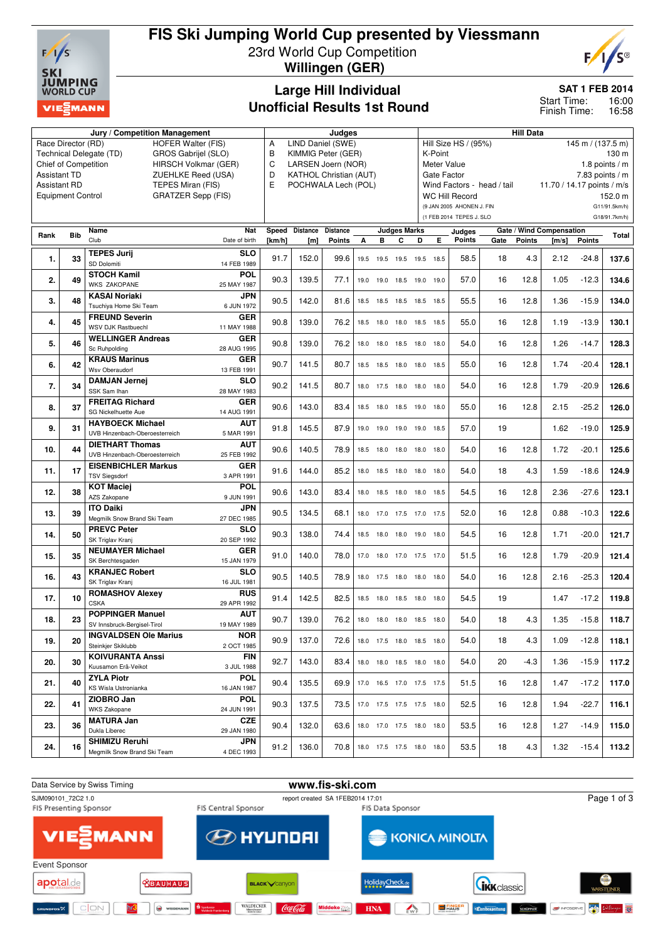

# **FIS Ski Jumping World Cup presented by Viessmann** 23rd World Cup Competition **Willingen (GER)**



### **Large Hill Individual Unofficial Results 1st Round**

**SAT 1 FEB 2014**

16:00 16:58 Start Time: Finish Time:

| Jury / Competition Management                                                                     |            |                                                 |                           |        | Judges                                                  |                 |      |           |                     |                               | <b>Hill Data</b>                                                                             |                           |      |               |                          |               |               |  |
|---------------------------------------------------------------------------------------------------|------------|-------------------------------------------------|---------------------------|--------|---------------------------------------------------------|-----------------|------|-----------|---------------------|-------------------------------|----------------------------------------------------------------------------------------------|---------------------------|------|---------------|--------------------------|---------------|---------------|--|
| Race Director (RD)<br><b>HOFER Walter (FIS)</b>                                                   |            |                                                 |                           |        | LIND Daniel (SWE)<br>Α                                  |                 |      |           |                     |                               | Hill Size HS / (95%)<br>$145$ m / (137.5 m)                                                  |                           |      |               |                          |               |               |  |
| Technical Delegate (TD)<br>GROS Gabrijel (SLO)                                                    |            |                                                 |                           |        | B<br>KIMMIG Peter (GER)                                 |                 |      |           |                     |                               | K-Point<br>130 m                                                                             |                           |      |               |                          |               |               |  |
| <b>Chief of Competition</b><br>HIRSCH Volkmar (GER)                                               |            |                                                 |                           |        | C<br>LARSEN Joern (NOR)                                 |                 |      |           |                     |                               | Meter Value<br>1.8 points $/m$                                                               |                           |      |               |                          |               |               |  |
| <b>Assistant TD</b><br>ZUEHLKE Reed (USA)                                                         |            |                                                 |                           |        | D<br>KATHOL Christian (AUT)<br>E<br>POCHWALA Lech (POL) |                 |      |           |                     |                               | Gate Factor<br>$7.83$ points / m<br>Wind Factors - head / tail<br>11.70 / 14.17 points / m/s |                           |      |               |                          |               |               |  |
| <b>Assistant RD</b><br>TEPES Miran (FIS)<br><b>Equipment Control</b><br><b>GRATZER Sepp (FIS)</b> |            |                                                 |                           |        |                                                         |                 |      |           |                     |                               |                                                                                              | <b>WC Hill Record</b>     |      |               |                          |               | 152.0 m       |  |
|                                                                                                   |            |                                                 |                           |        |                                                         |                 |      |           |                     |                               |                                                                                              | (9 JAN 2005 AHONEN J. FIN |      |               |                          |               | G11/91.5km/h) |  |
|                                                                                                   |            |                                                 |                           |        |                                                         |                 |      |           |                     |                               |                                                                                              | (1 FEB 2014 TEPES J. SLO  |      |               |                          |               | G18/91.7km/h) |  |
|                                                                                                   |            | Name                                            | Nat                       | Speed  | <b>Distance</b>                                         | <b>Distance</b> |      |           | <b>Judges Marks</b> |                               |                                                                                              | Judges                    |      |               | Gate / Wind Compensation |               |               |  |
| Rank                                                                                              | <b>Bib</b> | Club                                            | Date of birth             | [km/h] | [m]                                                     | Points          | A    | в         | C                   | D                             | Е                                                                                            | <b>Points</b>             | Gate | <b>Points</b> | [m/s]                    | <b>Points</b> | Total         |  |
|                                                                                                   |            | <b>TEPES Jurij</b>                              | <b>SLO</b>                |        |                                                         |                 |      |           |                     |                               |                                                                                              |                           |      |               |                          |               |               |  |
| 1.                                                                                                | 33         | SD Dolomiti                                     | 14 FEB 1989               | 91.7   | 152.0                                                   | 99.6            | 19.5 | 19.5      |                     | 19.5 19.5 18.5                |                                                                                              | 58.5                      | 18   | 4.3           | 2.12                     | $-24.8$       | 137.6         |  |
| 2.                                                                                                | 49         | <b>STOCH Kamil</b>                              | <b>POL</b>                | 90.3   | 139.5                                                   | 77.1            |      |           |                     | 19.0 19.0 18.5 19.0 19.0      |                                                                                              | 57.0                      | 16   | 12.8          | 1.05                     | $-12.3$       | 134.6         |  |
|                                                                                                   |            | <b>WKS ZAKOPANE</b>                             | 25 MAY 1987               |        |                                                         |                 |      |           |                     |                               |                                                                                              |                           |      |               |                          |               |               |  |
| 3.                                                                                                | 48         | <b>KASAI Noriaki</b>                            | <b>JPN</b>                | 90.5   | 142.0                                                   | 81.6            |      |           |                     | 18.5 18.5 18.5 18.5 18.5      |                                                                                              | 55.5                      | 16   | 12.8          | 1.36                     | $-15.9$       | 134.0         |  |
|                                                                                                   |            | Tsuchiya Home Ski Team<br><b>FREUND Severin</b> | 6 JUN 1972<br><b>GER</b>  |        |                                                         |                 |      |           |                     |                               |                                                                                              |                           |      |               |                          |               |               |  |
| 4.                                                                                                | 45         | <b>WSV DJK Rastbuechl</b>                       | 11 MAY 1988               | 90.8   | 139.0                                                   | 76.2            |      | 18.5 18.0 |                     | 18.0 18.5 18.5                |                                                                                              | 55.0                      | 16   | 12.8          | 1.19                     | $-13.9$       | 130.1         |  |
|                                                                                                   |            | <b>WELLINGER Andreas</b>                        | <b>GER</b>                |        |                                                         |                 |      |           |                     |                               |                                                                                              |                           |      |               |                          |               |               |  |
| 5.                                                                                                | 46         | Sc Ruhpolding                                   | 28 AUG 1995               | 90.8   | 139.0                                                   | 76.2            |      | 18.0 18.0 |                     | 18.5 18.0 18.0                |                                                                                              | 54.0                      | 16   | 12.8          | 1.26                     | $-14.7$       | 128.3         |  |
| 6.                                                                                                | 42         | <b>KRAUS Marinus</b>                            | GER                       | 90.7   | 141.5                                                   | 80.7            | 18.5 | 18.5      |                     | 18.0 18.0 18.5                |                                                                                              | 55.0                      | 16   | 12.8          | 1.74                     | $-20.4$       | 128.1         |  |
|                                                                                                   |            | <b>Wsv Oberaudorf</b>                           | 13 FEB 1991               |        |                                                         |                 |      |           |                     |                               |                                                                                              |                           |      |               |                          |               |               |  |
| 7.                                                                                                | 34         | <b>DAMJAN Jernej</b>                            | <b>SLO</b>                | 90.2   | 141.5                                                   | 80.7            |      | 18.0 17.5 |                     | 18.0 18.0 18.0                |                                                                                              | 54.0                      | 16   | 12.8          | 1.79                     | $-20.9$       | 126.6         |  |
|                                                                                                   |            | SSK Sam Ihan                                    | 28 MAY 1983               |        |                                                         |                 |      |           |                     |                               |                                                                                              |                           |      |               |                          |               |               |  |
| 8.                                                                                                | 37         | <b>FREITAG Richard</b><br>SG Nickelhuette Aue   | <b>GER</b><br>14 AUG 1991 | 90.6   | 143.0                                                   | 83.4            |      |           |                     | 18.5 18.0 18.5 19.0 18.0      |                                                                                              | 55.0                      | 16   | 12.8          | 2.15                     | $-25.2$       | 126.0         |  |
|                                                                                                   |            | <b>HAYBOECK Michael</b>                         | <b>AUT</b>                |        |                                                         |                 |      |           |                     |                               |                                                                                              |                           |      |               |                          |               |               |  |
| 9.                                                                                                | 31         | UVB Hinzenbach-Oberoesterreich                  | 5 MAR 1991                | 91.8   | 145.5                                                   | 87.9            |      | 19.0 19.0 |                     | 19.0 19.0 18.5                |                                                                                              | 57.0                      | 19   |               | 1.62                     | $-19.0$       | 125.9         |  |
|                                                                                                   | 44         | <b>DIETHART Thomas</b>                          | <b>AUT</b>                | 90.6   | 140.5                                                   | 78.9            | 18.5 | 18.0      |                     |                               |                                                                                              | 54.0                      | 16   | 12.8          | 1.72                     | $-20.1$       | 125.6         |  |
| 10.                                                                                               |            | UVB Hinzenbach-Oberoesterreich                  | 25 FEB 1992               |        |                                                         |                 |      |           | 18.0                | 18.0                          | 18.0                                                                                         |                           |      |               |                          |               |               |  |
| 11.                                                                                               | 17         | <b>EISENBICHLER Markus</b>                      | <b>GER</b>                | 91.6   | 144.0                                                   | 85.2            | 18.0 | 18.5      | 18.0                | 18.0 18.0                     |                                                                                              | 54.0                      | 18   | 4.3           | 1.59                     | $-18.6$       | 124.9         |  |
|                                                                                                   |            | <b>TSV Siegsdorf</b>                            | 3 APR 1991                |        |                                                         |                 |      |           |                     |                               |                                                                                              |                           |      |               |                          |               |               |  |
| 12.                                                                                               | 38         | <b>KOT Maciej</b><br>AZS Zakopane               | <b>POL</b><br>9 JUN 1991  | 90.6   | 143.0                                                   | 83.4            |      |           |                     | 18.0 18.5 18.0 18.0 18.5      |                                                                                              | 54.5                      | 16   | 12.8          | 2.36                     | $-27.6$       | 123.1         |  |
|                                                                                                   |            | <b>ITO Daiki</b>                                | <b>JPN</b>                |        |                                                         |                 |      |           |                     |                               |                                                                                              |                           |      |               |                          |               |               |  |
| 13.                                                                                               | 39         | Megmilk Snow Brand Ski Team                     | 27 DEC 1985               | 90.5   | 134.5                                                   | 68.1            |      | 18.0 17.0 |                     | 17.5 17.0 17.5                |                                                                                              | 52.0                      | 16   | 12.8          | 0.88                     | $-10.3$       | 122.6         |  |
|                                                                                                   |            | <b>PREVC Peter</b>                              | <b>SLO</b>                | 90.3   | 138.0                                                   | 74.4            |      |           |                     |                               |                                                                                              |                           | 16   | 12.8          |                          | $-20.0$       | 121.7         |  |
| 14.                                                                                               | 50         | SK Triglav Kranj                                | 20 SEP 1992               |        |                                                         |                 |      |           |                     | 18.5 18.0 18.0 19.0 18.0      |                                                                                              | 54.5                      |      |               | 1.71                     |               |               |  |
| 15.                                                                                               | 35         | <b>NEUMAYER Michael</b>                         | GER                       | 91.0   | 140.0                                                   | 78.0            |      |           |                     | 17.0 18.0 17.0 17.5 17.0      |                                                                                              | 51.5                      | 16   | 12.8          | 1.79                     | $-20.9$       | 121.4         |  |
|                                                                                                   |            | SK Berchtesgaden                                | 15 JAN 1979               |        |                                                         |                 |      |           |                     |                               |                                                                                              |                           |      |               |                          |               |               |  |
| 16.                                                                                               | 43         | <b>KRANJEC Robert</b><br>SK Triglav Kranj       | <b>SLO</b><br>16 JUL 1981 | 90.5   | 140.5                                                   | 78.9            |      | 18.0 17.5 |                     | 18.0 18.0 18.0                |                                                                                              | 54.0                      | 16   | 12.8          | 2.16                     | $-25.3$       | 120.4         |  |
|                                                                                                   |            | <b>ROMASHOV Alexey</b>                          | <b>RUS</b>                |        |                                                         |                 |      |           |                     |                               |                                                                                              |                           |      |               |                          |               |               |  |
| 17.                                                                                               | 10         | <b>CSKA</b>                                     | 29 APR 1992               | 91.4   | 142.5                                                   | 82.5            |      | 18.5 18.0 | 18.5                | 18.0 18.0                     |                                                                                              | 54.5                      | 19   |               | 1.47                     | $-17.2$       | 119.8         |  |
|                                                                                                   |            | <b>POPPINGER Manuel</b>                         | <b>AUT</b>                | 90.7   |                                                         |                 |      |           |                     | 18.0 18.0 18.0 18.5 18.0      |                                                                                              |                           |      |               |                          |               | 118.7         |  |
| 18.                                                                                               | 23         | SV Innsbruck-Bergisel-Tirol                     | 19 MAY 1989               |        | 139.0                                                   | 76.2            |      |           |                     |                               |                                                                                              | 54.0                      | 18   | 4.3           | 1.35                     | $-15.8$       |               |  |
| 19.                                                                                               | 20         | <b>INGVALDSEN Ole Marius</b>                    | <b>NOR</b>                | 90.9   | 137.0                                                   | 72.6            |      |           |                     | 18.0 17.5 18.0 18.5 18.0      |                                                                                              | 54.0                      | 18   | 4.3           | 1.09                     | $-12.8$       | 118.1         |  |
|                                                                                                   |            | Steinkjer Skiklubb                              | 2 OCT 1985                |        |                                                         |                 |      |           |                     |                               |                                                                                              |                           |      |               |                          |               |               |  |
| 20.                                                                                               | 30         | <b>KOIVURANTA Anssi</b><br>Kuusamon Erä-Veikot  | <b>FIN</b><br>3 JUL 1988  | 92.7   | 143.0                                                   | 83.4            |      |           |                     | 18.0 18.0 18.5 18.0 18.0      |                                                                                              | 54.0                      | 20   | -4.3          | 1.36                     | $-15.9$       | 117.2         |  |
|                                                                                                   |            | <b>ZYLA Piotr</b>                               | <b>POL</b>                |        |                                                         |                 |      |           |                     |                               |                                                                                              |                           |      |               |                          |               |               |  |
| 21.                                                                                               | 40         | KS Wisla Ustronianka                            | 16 JAN 1987               | 90.4   | 135.5                                                   | 69.9            |      |           |                     | 17.0  16.5  17.0  17.5  17.5  |                                                                                              | 51.5                      | 16   | 12.8          | 1.47                     | $-17.2$       | 117.0         |  |
|                                                                                                   |            | ZIOBRO Jan                                      | <b>POL</b>                |        |                                                         |                 |      |           |                     |                               |                                                                                              |                           |      |               |                          |               |               |  |
| 22.                                                                                               | 41         | <b>WKS Zakopane</b>                             | 24 JUN 1991               | 90.3   | 137.5                                                   | 73.5            |      |           |                     | 17.0 17.5 17.5 17.5 18.0      |                                                                                              | 52.5                      | 16   | 12.8          | 1.94                     | $-22.7$       | 116.1         |  |
| 23.                                                                                               | 36         | <b>MATURA Jan</b>                               | <b>CZE</b>                | 90.4   | 132.0                                                   | 63.6            |      |           |                     | 18.0 17.0 17.5 18.0 18.0      |                                                                                              | 53.5                      | 16   | 12.8          | 1.27                     | $-14.9$       | 115.0         |  |
|                                                                                                   |            | Dukla Liberec                                   | 29 JAN 1980               |        |                                                         |                 |      |           |                     |                               |                                                                                              |                           |      |               |                          |               |               |  |
| 24.                                                                                               | 16         | <b>SHIMIZU Reruhi</b>                           | <b>JPN</b>                | 91.2   | 136.0                                                   |                 |      |           |                     | 70.8 18.0 17.5 17.5 18.0 18.0 |                                                                                              | 53.5                      | 18   | 4.3           | 1.32                     | $-15.4$       | 113.2         |  |
|                                                                                                   |            | Megmilk Snow Brand Ski Team                     | 4 DEC 1993                |        |                                                         |                 |      |           |                     |                               |                                                                                              |                           |      |               |                          |               |               |  |

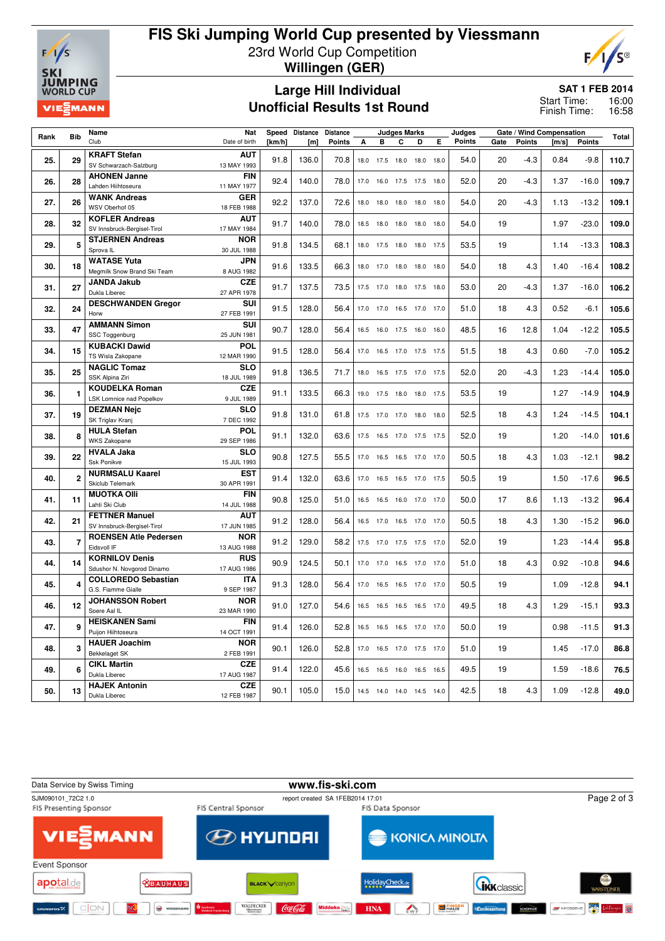

# **FIS Ski Jumping World Cup presented by Viessmann** 23rd World Cup Competition **Willingen (GER)**



### **Large Hill Individual Unofficial Results 1st Round**

**SAT 1 FEB 2014**

16:00 16:58 Start Time: Finish Time:

| Rank | <b>Bib</b>     | <b>Distance</b><br><b>Distance</b><br><b>Judges Marks</b><br>Name<br>Nat<br>Speed |                           |        |       |               |      | Judges    |           | Gate / Wind Compensation |      |               | Total |        |       |               |       |
|------|----------------|-----------------------------------------------------------------------------------|---------------------------|--------|-------|---------------|------|-----------|-----------|--------------------------|------|---------------|-------|--------|-------|---------------|-------|
|      |                | Club                                                                              | Date of birth             | [km/h] | [m]   | <b>Points</b> | A    | B         | C         | D                        | E    | <b>Points</b> | Gate  | Points | [m/s] | <b>Points</b> |       |
| 25.  | 29             | <b>KRAFT Stefan</b><br>SV Schwarzach-Salzburg                                     | <b>AUT</b><br>13 MAY 1993 | 91.8   | 136.0 | 70.8          |      | 18.0 17.5 |           | 18.0 18.0 18.0           |      | 54.0          | 20    | $-4.3$ | 0.84  | $-9.8$        | 110.7 |
| 26.  | 28             | <b>AHONEN Janne</b><br>Lahden Hiihtoseura                                         | FIN<br>11 MAY 1977        | 92.4   | 140.0 | 78.0          | 17.0 | 16.0      | 17.5 17.5 |                          | 18.0 | 52.0          | 20    | $-4.3$ | 1.37  | $-16.0$       | 109.7 |
| 27.  | 26             | <b>WANK Andreas</b><br>WSV Oberhof 05                                             | <b>GER</b><br>18 FEB 1988 | 92.2   | 137.0 | 72.6          | 18.0 | 18.0      | 18.0      | 18.0                     | 18.0 | 54.0          | 20    | $-4.3$ | 1.13  | $-13.2$       | 109.1 |
| 28.  | 32             | <b>KOFLER Andreas</b><br>SV Innsbruck-Bergisel-Tirol                              | <b>AUT</b><br>17 MAY 1984 | 91.7   | 140.0 | 78.0          | 18.5 | 18.0      | 18.0      | 18.0                     | 18.0 | 54.0          | 19    |        | 1.97  | $-23.0$       | 109.0 |
| 29.  | 5              | <b>STJERNEN Andreas</b><br>Sprova <sub>IL</sub>                                   | <b>NOR</b><br>30 JUL 1988 | 91.8   | 134.5 | 68.1          |      | 18.0 17.5 |           | 18.0 18.0 17.5           |      | 53.5          | 19    |        | 1.14  | $-13.3$       | 108.3 |
| 30.  | 18             | <b>WATASE Yuta</b><br>Megmilk Snow Brand Ski Team                                 | <b>JPN</b><br>8 AUG 1982  | 91.6   | 133.5 | 66.3          | 18.0 | 17.0      | 18.0      | 18.0                     | 18.0 | 54.0          | 18    | 4.3    | 1.40  | $-16.4$       | 108.2 |
| 31.  | 27             | <b>JANDA Jakub</b><br>Dukla Liberec                                               | <b>CZE</b><br>27 APR 1978 | 91.7   | 137.5 | 73.5          | 17.5 | 17.0      | 18.0      | 17.5                     | 18.0 | 53.0          | 20    | $-4.3$ | 1.37  | $-16.0$       | 106.2 |
| 32.  | 24             | <b>DESCHWANDEN Gregor</b><br>Horw                                                 | SUI<br>27 FEB 1991        | 91.5   | 128.0 | 56.4          | 17.0 | 17.0      | 16.5      | 17.0                     | 17.0 | 51.0          | 18    | 4.3    | 0.52  | $-6.1$        | 105.6 |
| 33.  | 47             | <b>AMMANN Simon</b><br>SSC Toggenburg                                             | SUI<br>25 JUN 1981        | 90.7   | 128.0 | 56.4          |      | 16.5 16.0 |           | 17.5 16.0 16.0           |      | 48.5          | 16    | 12.8   | 1.04  | $-12.2$       | 105.5 |
| 34.  | 15             | <b>KUBACKI Dawid</b><br>TS Wisla Zakopane                                         | POL<br>12 MAR 1990        | 91.5   | 128.0 | 56.4          | 17.0 | 16.5      |           | 17.0 17.5 17.5           |      | 51.5          | 18    | 4.3    | 0.60  | $-7.0$        | 105.2 |
| 35.  | 25             | <b>NAGLIC Tomaz</b><br>SSK Alpina Ziri                                            | <b>SLO</b><br>18 JUL 1989 | 91.8   | 136.5 | 71.7          | 18.0 | 16.5      | 17.5      | 17.0                     | 17.5 | 52.0          | 20    | $-4.3$ | 1.23  | $-14.4$       | 105.0 |
| 36.  | 1              | <b>KOUDELKA Roman</b><br><b>LSK Lomnice nad Popelkov</b>                          | <b>CZE</b><br>9 JUL 1989  | 91.1   | 133.5 | 66.3          | 19.0 | 17.5      | 18.0      | 18.0                     | 17.5 | 53.5          | 19    |        | 1.27  | $-14.9$       | 104.9 |
| 37.  | 19             | <b>DEZMAN Nejc</b><br>SK Triglav Kranj                                            | <b>SLO</b><br>7 DEC 1992  | 91.8   | 131.0 | 61.8          |      | 17.5 17.0 |           | 17.0 18.0 18.0           |      | 52.5          | 18    | 4.3    | 1.24  | $-14.5$       | 104.1 |
| 38.  | 8              | <b>HULA Stefan</b><br><b>WKS Zakopane</b>                                         | POL<br>29 SEP 1986        | 91.1   | 132.0 | 63.6          |      | 17.5 16.5 |           | 17.0 17.5 17.5           |      | 52.0          | 19    |        | 1.20  | $-14.0$       | 101.6 |
| 39.  | 22             | <b>HVALA Jaka</b><br>Ssk Ponikve                                                  | <b>SLO</b><br>15 JUL 1993 | 90.8   | 127.5 | 55.5          | 17.0 | 16.5      | 16.5 17.0 |                          | 17.0 | 50.5          | 18    | 4.3    | 1.03  | $-12.1$       | 98.2  |
| 40.  | $\overline{2}$ | <b>NURMSALU Kaarel</b><br>Skiclub Telemark                                        | <b>EST</b><br>30 APR 1991 | 91.4   | 132.0 | 63.6          | 17.0 | 16.5      | 16.5      | 17.0 17.5                |      | 50.5          | 19    |        | 1.50  | $-17.6$       | 96.5  |
| 41.  | 11             | <b>MUOTKA OIII</b><br>Lahti Ski Club                                              | <b>FIN</b><br>14 JUL 1988 | 90.8   | 125.0 | 51.0          | 16.5 | 16.5      |           | 16.0 17.0 17.0           |      | 50.0          | 17    | 8.6    | 1.13  | $-13.2$       | 96.4  |
| 42.  | 21             | <b>FETTNER Manuel</b><br>SV Innsbruck-Bergisel-Tirol                              | <b>AUT</b><br>17 JUN 1985 | 91.2   | 128.0 | 56.4          |      | 16.5 17.0 |           | 16.5 17.0 17.0           |      | 50.5          | 18    | 4.3    | 1.30  | $-15.2$       | 96.0  |
| 43.  | 7              | <b>ROENSEN Atle Pedersen</b><br>Eidsvoll IF                                       | <b>NOR</b><br>13 AUG 1988 | 91.2   | 129.0 | 58.2          | 17.5 | 17.0      |           | 17.5 17.5 17.0           |      | 52.0          | 19    |        | 1.23  | $-14.4$       | 95.8  |
| 44.  | 14             | <b>KORNILOV Denis</b><br>Sdushor N. Novgorod Dinamo                               | <b>RUS</b><br>17 AUG 1986 | 90.9   | 124.5 | 50.1          | 17.0 | 17.0      | 16.5      | 17.0 17.0                |      | 51.0          | 18    | 4.3    | 0.92  | $-10.8$       | 94.6  |
| 45.  | 4              | <b>COLLOREDO Sebastian</b><br>G.S. Fiamme Gialle                                  | <b>ITA</b><br>9 SEP 1987  | 91.3   | 128.0 | 56.4          | 17.0 | 16.5      | 16.5      | 17.0                     | 17.0 | 50.5          | 19    |        | 1.09  | $-12.8$       | 94.1  |
| 46.  | 12             | <b>JOHANSSON Robert</b><br>Soere Aal IL                                           | <b>NOR</b><br>23 MAR 1990 | 91.0   | 127.0 | 54.6          |      | 16.5 16.5 |           | 16.5 16.5 17.0           |      | 49.5          | 18    | 4.3    | 1.29  | $-15.1$       | 93.3  |
| 47.  | 9              | <b>HEISKANEN Sami</b><br>Puijon Hiihtoseura                                       | <b>FIN</b><br>14 OCT 1991 | 91.4   | 126.0 | 52.8          |      | 16.5 16.5 |           | 16.5 17.0 17.0           |      | 50.0          | 19    |        | 0.98  | $-11.5$       | 91.3  |
| 48.  | 3              | <b>HAUER Joachim</b><br><b>Bekkelaget SK</b>                                      | <b>NOR</b><br>2 FEB 1991  | 90.1   | 126.0 | 52.8          | 17.0 | 16.5      | 17.0      | 17.5 17.0                |      | 51.0          | 19    |        | 1.45  | $-17.0$       | 86.8  |
| 49.  | 6              | <b>CIKL Martin</b><br>Dukla Liberec                                               | <b>CZE</b><br>17 AUG 1987 | 91.4   | 122.0 | 45.6          | 16.5 | 16.5      | 16.0      | 16.5                     | 16.5 | 49.5          | 19    |        | 1.59  | $-18.6$       | 76.5  |
| 50.  | 13             | <b>HAJEK Antonin</b><br>Dukla Liberec                                             | <b>CZE</b><br>12 FEB 1987 | 90.1   | 105.0 | 15.0          |      | 14.5 14.0 |           | 14.0 14.5 14.0           |      | 42.5          | 18    | 4.3    | 1.09  | $-12.8$       | 49.0  |